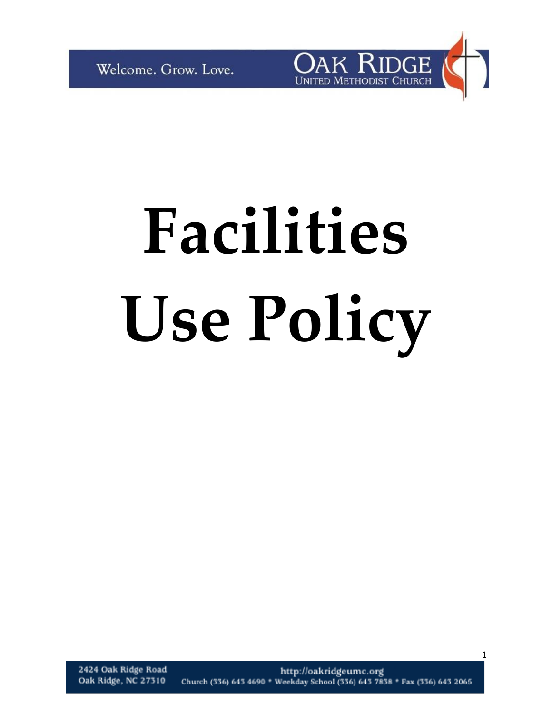



1

# **Facilities Use Policy**

2424 Oak Ridge Road http://oakridgeumc.org Oak Ridge, NC 27310 Church (336) 643 4690 \* Weekday School (336) 643 7838 \* Fax (336) 643 2065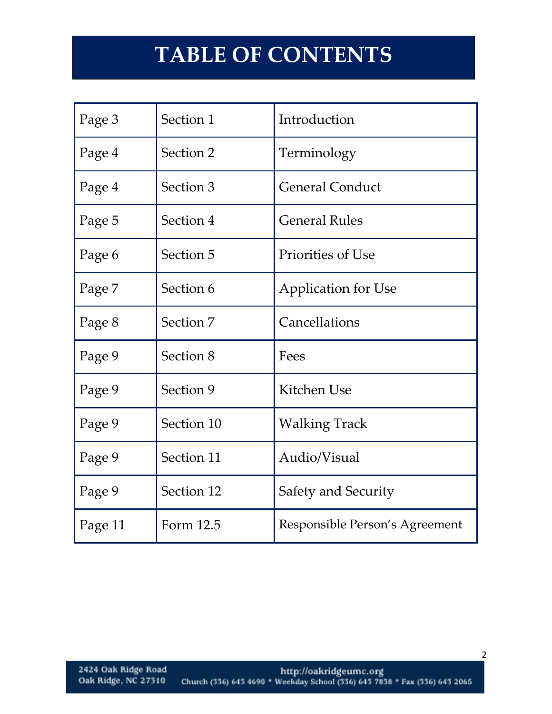# **TABLE OF CONTENTS**

| Page 3  | Section 1  | Introduction                   |
|---------|------------|--------------------------------|
| Page 4  | Section 2  | Terminology                    |
| Page 4  | Section 3  | <b>General Conduct</b>         |
| Page 5  | Section 4  | <b>General Rules</b>           |
| Page 6  | Section 5  | <b>Priorities of Use</b>       |
| Page 7  | Section 6  | <b>Application for Use</b>     |
| Page 8  | Section 7  | Cancellations                  |
| Page 9  | Section 8  | Fees                           |
| Page 9  | Section 9  | Kitchen Use                    |
| Page 9  | Section 10 | <b>Walking Track</b>           |
| Page 9  | Section 11 | Audio/Visual                   |
| Page 9  | Section 12 | Safety and Security            |
| Page 11 | Form 12.5  | Responsible Person's Agreement |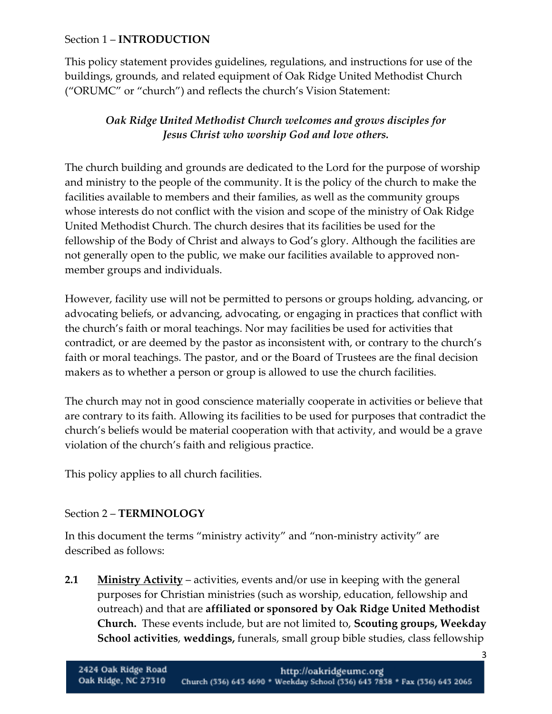# Section 1 – **INTRODUCTION**

This policy statement provides guidelines, regulations, and instructions for use of the buildings, grounds, and related equipment of Oak Ridge United Methodist Church ("ORUMC" or "church") and reflects the church's Vision Statement:

# *Oak Ridge United Methodist Church welcomes and grows disciples for Jesus Christ who worship God and love others.*

The church building and grounds are dedicated to the Lord for the purpose of worship and ministry to the people of the community. It is the policy of the church to make the facilities available to members and their families, as well as the community groups whose interests do not conflict with the vision and scope of the ministry of Oak Ridge United Methodist Church. The church desires that its facilities be used for the fellowship of the Body of Christ and always to God's glory. Although the facilities are not generally open to the public, we make our facilities available to approved nonmember groups and individuals.

However, facility use will not be permitted to persons or groups holding, advancing, or advocating beliefs, or advancing, advocating, or engaging in practices that conflict with the church's faith or moral teachings. Nor may facilities be used for activities that contradict, or are deemed by the pastor as inconsistent with, or contrary to the church's faith or moral teachings. The pastor, and or the Board of Trustees are the final decision makers as to whether a person or group is allowed to use the church facilities.

The church may not in good conscience materially cooperate in activities or believe that are contrary to its faith. Allowing its facilities to be used for purposes that contradict the church's beliefs would be material cooperation with that activity, and would be a grave violation of the church's faith and religious practice.

This policy applies to all church facilities.

# Section 2 – **TERMINOLOGY**

In this document the terms "ministry activity" and "non-ministry activity" are described as follows:

**2.1 Ministry Activity** – activities, events and/or use in keeping with the general purposes for Christian ministries (such as worship, education, fellowship and outreach) and that are **affiliated or sponsored by Oak Ridge United Methodist Church.** These events include, but are not limited to, **Scouting groups, Weekday School activities**, **weddings,** funerals, small group bible studies, class fellowship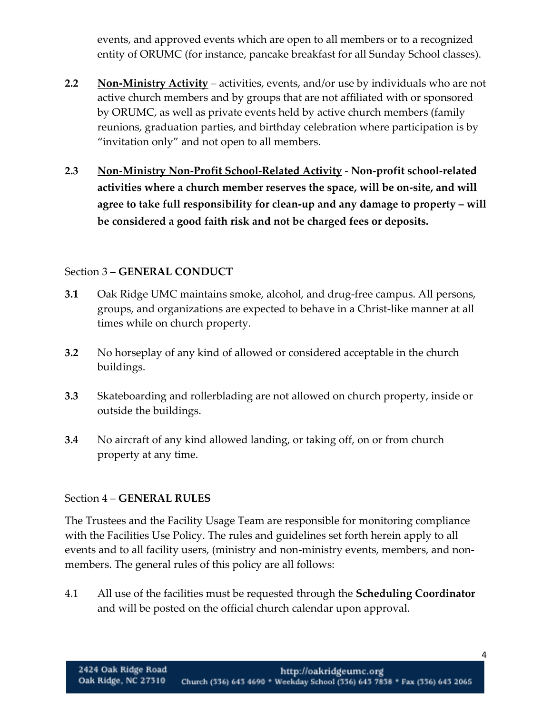events, and approved events which are open to all members or to a recognized entity of ORUMC (for instance, pancake breakfast for all Sunday School classes).

- **2.2 Non-Ministry Activity** activities, events, and/or use by individuals who are not active church members and by groups that are not affiliated with or sponsored by ORUMC, as well as private events held by active church members (family reunions, graduation parties, and birthday celebration where participation is by "invitation only" and not open to all members.
- **2.3 Non-Ministry Non-Profit School-Related Activity Non-profit school-related activities where a church member reserves the space, will be on-site, and will agree to take full responsibility for clean-up and any damage to property – will be considered a good faith risk and not be charged fees or deposits.**

#### Section 3 **– GENERAL CONDUCT**

- **3.1** Oak Ridge UMC maintains smoke, alcohol, and drug-free campus. All persons, groups, and organizations are expected to behave in a Christ-like manner at all times while on church property.
- **3.2** No horseplay of any kind of allowed or considered acceptable in the church buildings.
- **3.3** Skateboarding and rollerblading are not allowed on church property, inside or outside the buildings.
- **3.4** No aircraft of any kind allowed landing, or taking off, on or from church property at any time.

### Section 4 – **GENERAL RULES**

The Trustees and the Facility Usage Team are responsible for monitoring compliance with the Facilities Use Policy. The rules and guidelines set forth herein apply to all events and to all facility users, (ministry and non-ministry events, members, and nonmembers. The general rules of this policy are all follows:

4.1 All use of the facilities must be requested through the **Scheduling Coordinator** and will be posted on the official church calendar upon approval.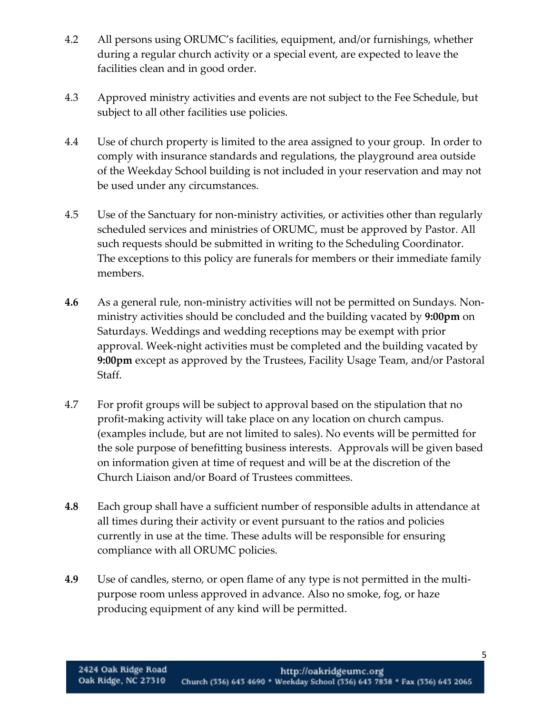- 4.2 All persons using ORUMC's facilities, equipment, and/or furnishings, whether during a regular church activity or a special event, are expected to leave the facilities clean and in good order.
- 4.3 Approved ministry activities and events are not subject to the Fee Schedule, but subject to all other facilities use policies.
- 4.4 Use of church property is limited to the area assigned to your group. In order to comply with insurance standards and regulations, the playground area outside of the Weekday School building is not included in your reservation and may not be used under any circumstances.
- 4.5 Use of the Sanctuary for non-ministry activities, or activities other than regularly scheduled services and ministries of ORUMC, must be approved by Pastor. All such requests should be submitted in writing to the Scheduling Coordinator. The exceptions to this policy are funerals for members or their immediate family members.
- **4.6** As a general rule, non-ministry activities will not be permitted on Sundays. Nonministry activities should be concluded and the building vacated by **9:00pm** on Saturdays. Weddings and wedding receptions may be exempt with prior approval. Week-night activities must be completed and the building vacated by **9:00pm** except as approved by the Trustees, Facility Usage Team, and/or Pastoral Staff.
- 4.7 For profit groups will be subject to approval based on the stipulation that no profit-making activity will take place on any location on church campus. (examples include, but are not limited to sales). No events will be permitted for the sole purpose of benefitting business interests. Approvals will be given based on information given at time of request and will be at the discretion of the Church Liaison and/or Board of Trustees committees.
- **4.8** Each group shall have a sufficient number of responsible adults in attendance at all times during their activity or event pursuant to the ratios and policies currently in use at the time. These adults will be responsible for ensuring compliance with all ORUMC policies.
- **4.9** Use of candles, sterno, or open flame of any type is not permitted in the multipurpose room unless approved in advance. Also no smoke, fog, or haze producing equipment of any kind will be permitted.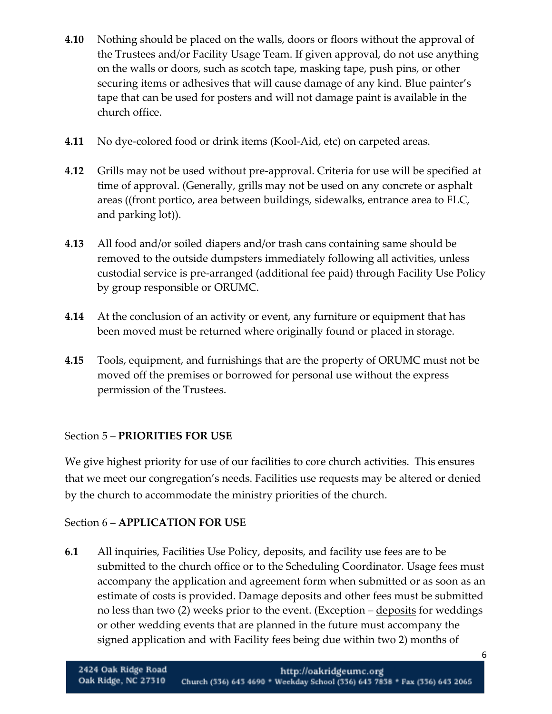- **4.10** Nothing should be placed on the walls, doors or floors without the approval of the Trustees and/or Facility Usage Team. If given approval, do not use anything on the walls or doors, such as scotch tape, masking tape, push pins, or other securing items or adhesives that will cause damage of any kind. Blue painter's tape that can be used for posters and will not damage paint is available in the church office.
- **4.11** No dye-colored food or drink items (Kool-Aid, etc) on carpeted areas.
- **4.12** Grills may not be used without pre-approval. Criteria for use will be specified at time of approval. (Generally, grills may not be used on any concrete or asphalt areas ((front portico, area between buildings, sidewalks, entrance area to FLC, and parking lot)).
- **4.13** All food and/or soiled diapers and/or trash cans containing same should be removed to the outside dumpsters immediately following all activities, unless custodial service is pre-arranged (additional fee paid) through Facility Use Policy by group responsible or ORUMC.
- **4.14** At the conclusion of an activity or event, any furniture or equipment that has been moved must be returned where originally found or placed in storage.
- **4.15** Tools, equipment, and furnishings that are the property of ORUMC must not be moved off the premises or borrowed for personal use without the express permission of the Trustees.

# Section 5 – **PRIORITIES FOR USE**

We give highest priority for use of our facilities to core church activities. This ensures that we meet our congregation's needs. Facilities use requests may be altered or denied by the church to accommodate the ministry priorities of the church.

# Section 6 – **APPLICATION FOR USE**

**6.1** All inquiries, Facilities Use Policy, deposits, and facility use fees are to be submitted to the church office or to the Scheduling Coordinator. Usage fees must accompany the application and agreement form when submitted or as soon as an estimate of costs is provided. Damage deposits and other fees must be submitted no less than two (2) weeks prior to the event. (Exception – deposits for weddings or other wedding events that are planned in the future must accompany the signed application and with Facility fees being due within two 2) months of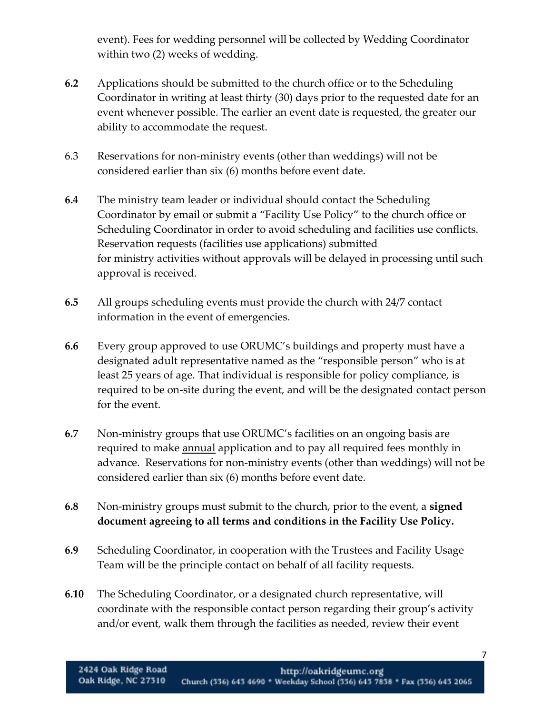event). Fees for wedding personnel will be collected by Wedding Coordinator within two (2) weeks of wedding.

- **6.2** Applications should be submitted to the church office or to the Scheduling Coordinator in writing at least thirty (30) days prior to the requested date for an event whenever possible. The earlier an event date is requested, the greater our ability to accommodate the request.
- 6.3 Reservations for non-ministry events (other than weddings) will not be considered earlier than six (6) months before event date.
- **6.4** The ministry team leader or individual should contact the Scheduling Coordinator by email or submit a "Facility Use Policy" to the church office or Scheduling Coordinator in order to avoid scheduling and facilities use conflicts. Reservation requests (facilities use applications) submitted for ministry activities without approvals will be delayed in processing until such approval is received.
- **6.5** All groups scheduling events must provide the church with 24/7 contact information in the event of emergencies.
- **6.6** Every group approved to use ORUMC's buildings and property must have a designated adult representative named as the "responsible person" who is at least 25 years of age. That individual is responsible for policy compliance, is required to be on-site during the event, and will be the designated contact person for the event.
- **6.7** Non-ministry groups that use ORUMC's facilities on an ongoing basis are required to make annual application and to pay all required fees monthly in advance. Reservations for non-ministry events (other than weddings) will not be considered earlier than six (6) months before event date.
- **6.8** Non-ministry groups must submit to the church, prior to the event, a **signed document agreeing to all terms and conditions in the Facility Use Policy.**
- **6.9** Scheduling Coordinator, in cooperation with the Trustees and Facility Usage Team will be the principle contact on behalf of all facility requests.
- **6.10** The Scheduling Coordinator, or a designated church representative, will coordinate with the responsible contact person regarding their group's activity and/or event, walk them through the facilities as needed, review their event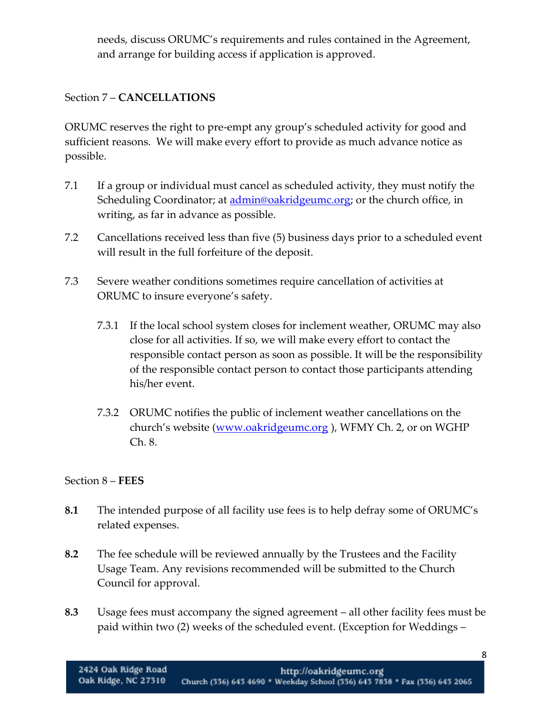needs, discuss ORUMC's requirements and rules contained in the Agreement, and arrange for building access if application is approved.

# Section 7 – **CANCELLATIONS**

ORUMC reserves the right to pre-empt any group's scheduled activity for good and sufficient reasons. We will make every effort to provide as much advance notice as possible.

- 7.1 If a group or individual must cancel as scheduled activity, they must notify the Scheduling Coordinator; at [admin@oakridgeumc.org;](mailto:admin@oakridgeumc.org) or the church office, in writing, as far in advance as possible.
- 7.2 Cancellations received less than five (5) business days prior to a scheduled event will result in the full forfeiture of the deposit.
- 7.3 Severe weather conditions sometimes require cancellation of activities at ORUMC to insure everyone's safety.
	- 7.3.1 If the local school system closes for inclement weather, ORUMC may also close for all activities. If so, we will make every effort to contact the responsible contact person as soon as possible. It will be the responsibility of the responsible contact person to contact those participants attending his/her event.
	- 7.3.2 ORUMC notifies the public of inclement weather cancellations on the church's website ([www.oakridgeumc.org](http://www.oakridgeumc.org/)), WFMY Ch. 2, or on WGHP Ch. 8.

### Section 8 – **FEES**

- **8.1** The intended purpose of all facility use fees is to help defray some of ORUMC's related expenses.
- **8.2** The fee schedule will be reviewed annually by the Trustees and the Facility Usage Team. Any revisions recommended will be submitted to the Church Council for approval.
- **8.3** Usage fees must accompany the signed agreement all other facility fees must be paid within two (2) weeks of the scheduled event. (Exception for Weddings –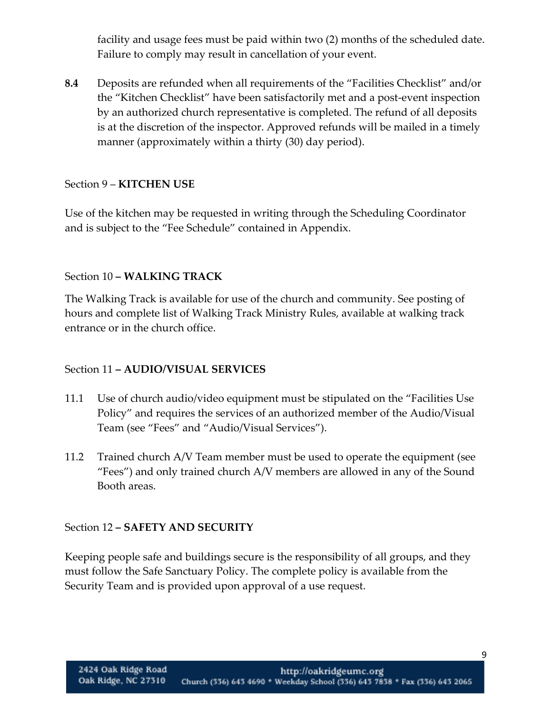facility and usage fees must be paid within two (2) months of the scheduled date. Failure to comply may result in cancellation of your event.

**8.4** Deposits are refunded when all requirements of the "Facilities Checklist" and/or the "Kitchen Checklist" have been satisfactorily met and a post-event inspection by an authorized church representative is completed. The refund of all deposits is at the discretion of the inspector. Approved refunds will be mailed in a timely manner (approximately within a thirty (30) day period).

#### Section 9 – **KITCHEN USE**

Use of the kitchen may be requested in writing through the Scheduling Coordinator and is subject to the "Fee Schedule" contained in Appendix.

#### Section 10 **– WALKING TRACK**

The Walking Track is available for use of the church and community. See posting of hours and complete list of Walking Track Ministry Rules, available at walking track entrance or in the church office.

#### Section 11 **– AUDIO/VISUAL SERVICES**

- 11.1 Use of church audio/video equipment must be stipulated on the "Facilities Use Policy" and requires the services of an authorized member of the Audio/Visual Team (see "Fees" and "Audio/Visual Services").
- 11.2 Trained church A/V Team member must be used to operate the equipment (see "Fees") and only trained church A/V members are allowed in any of the Sound Booth areas.

#### Section 12 **– SAFETY AND SECURITY**

Keeping people safe and buildings secure is the responsibility of all groups, and they must follow the Safe Sanctuary Policy. The complete policy is available from the Security Team and is provided upon approval of a use request.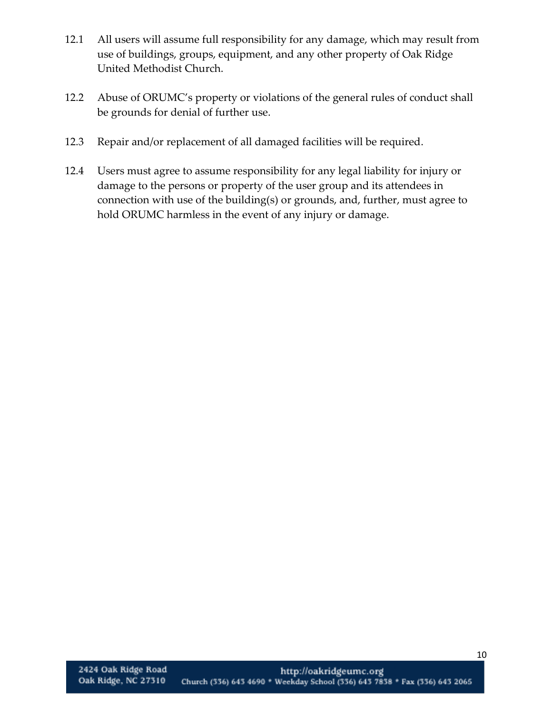- 12.1 All users will assume full responsibility for any damage, which may result from use of buildings, groups, equipment, and any other property of Oak Ridge United Methodist Church.
- 12.2 Abuse of ORUMC's property or violations of the general rules of conduct shall be grounds for denial of further use.
- 12.3 Repair and/or replacement of all damaged facilities will be required.
- 12.4 Users must agree to assume responsibility for any legal liability for injury or damage to the persons or property of the user group and its attendees in connection with use of the building(s) or grounds, and, further, must agree to hold ORUMC harmless in the event of any injury or damage.